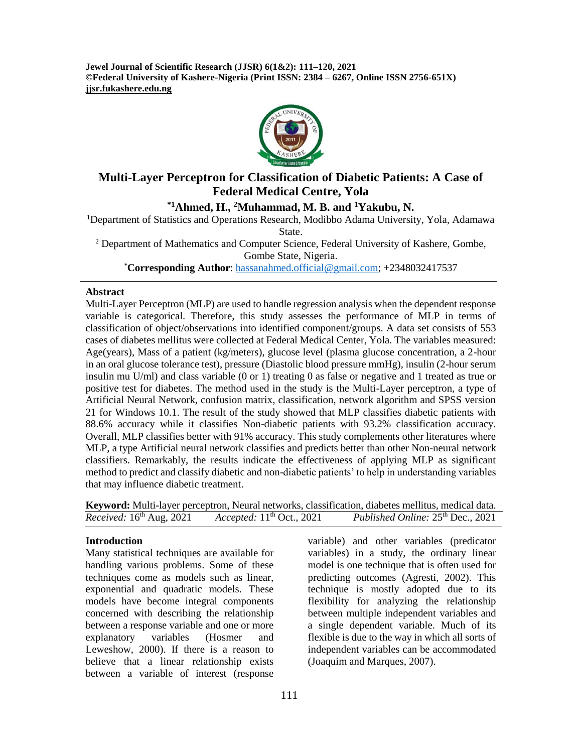**Jewel Journal of Scientific Research (JJSR) 6(1&2): 111–120, 2021 ©Federal University of Kashere-Nigeria (Print ISSN: 2384 – 6267, Online ISSN 2756-651X) jjsr.fukashere.edu.ng**



# **Multi-Layer Perceptron for Classification of Diabetic Patients: A Case of Federal Medical Centre, Yola**

**\*1Ahmed, H., <sup>2</sup>Muhammad, M. B. and <sup>1</sup>Yakubu, N.**

<sup>1</sup>Department of Statistics and Operations Research, Modibbo Adama University, Yola, Adamawa State.

<sup>2</sup> Department of Mathematics and Computer Science, Federal University of Kashere, Gombe, Gombe State, Nigeria.

\***Corresponding Author**: [hassanahmed.official@gmail.com;](mailto:hassanahmed.official@gmail.com) +2348032417537

#### **Abstract**

Multi-Layer Perceptron (MLP) are used to handle regression analysis when the dependent response variable is categorical. Therefore, this study assesses the performance of MLP in terms of classification of object/observations into identified component/groups. A data set consists of 553 cases of diabetes mellitus were collected at Federal Medical Center, Yola. The variables measured: Age(years), Mass of a patient (kg/meters), glucose level (plasma glucose concentration, a 2-hour in an oral glucose tolerance test), pressure (Diastolic blood pressure mmHg), insulin (2-hour serum insulin mu U/ml) and class variable (0 or 1) treating 0 as false or negative and 1 treated as true or positive test for diabetes. The method used in the study is the Multi-Layer perceptron, a type of Artificial Neural Network, confusion matrix, classification, network algorithm and SPSS version 21 for Windows 10.1. The result of the study showed that MLP classifies diabetic patients with 88.6% accuracy while it classifies Non-diabetic patients with 93.2% classification accuracy. Overall, MLP classifies better with 91% accuracy. This study complements other literatures where MLP, a type Artificial neural network classifies and predicts better than other Non-neural network classifiers. Remarkably, the results indicate the effectiveness of applying MLP as significant method to predict and classify diabetic and non-diabetic patients' to help in understanding variables that may influence diabetic treatment.

**Keyword:** Multi-layer perceptron, Neural networks, classification, diabetes mellitus, medical data. *Received:* 16 Accepted: 11<sup>th</sup> Oct., 2021 th Oct., 2021 Published Online: 25<sup>th</sup> Dec., 2021

## **Introduction**

Many statistical techniques are available for handling various problems. Some of these techniques come as models such as linear, exponential and quadratic models. These models have become integral components concerned with describing the relationship between a response variable and one or more explanatory variables (Hosmer and Leweshow, 2000). If there is a reason to believe that a linear relationship exists between a variable of interest (response

variable) and other variables (predicator variables) in a study, the ordinary linear model is one technique that is often used for predicting outcomes (Agresti, 2002). This technique is mostly adopted due to its flexibility for analyzing the relationship between multiple independent variables and a single dependent variable. Much of its flexible is due to the way in which all sorts of independent variables can be accommodated (Joaquim and Marques, 2007).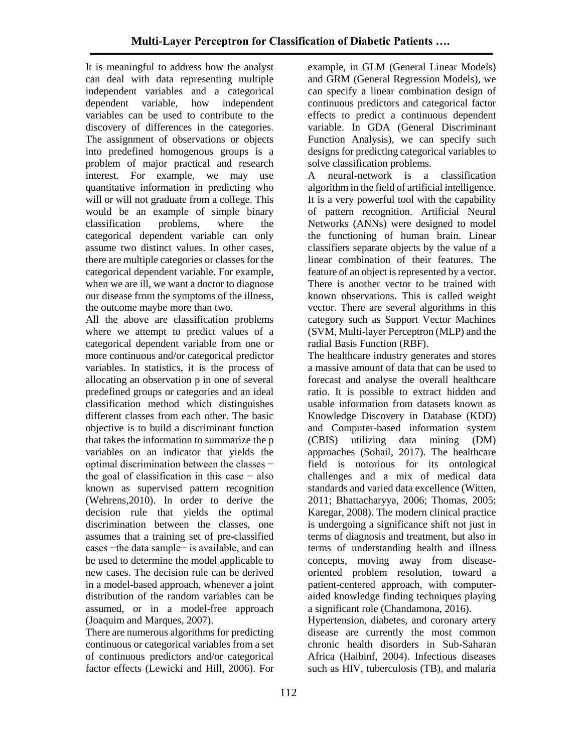It is meaningful to address how the analyst can deal with data representing multiple independent variables and a categorical dependent variable, how independent variables can be used to contribute to the discovery of differences in the categories. The assignment of observations or objects into predefined homogenous groups is a problem of major practical and research interest. For example, we may use quantitative information in predicting who will or will not graduate from a college. This would be an example of simple binary classification problems, where the categorical dependent variable can only assume two distinct values. In other cases, there are multiple categories or classes for the categorical dependent variable. For example, when we are ill, we want a doctor to diagnose our disease from the symptoms of the illness, the outcome maybe more than two.

All the above are classification problems where we attempt to predict values of a categorical dependent variable from one or more continuous and/or categorical predictor variables. In statistics, it is the process of allocating an observation p in one of several predefined groups or categories and an ideal classification method which distinguishes different classes from each other. The basic objective is to build a discriminant function that takes the information to summarize the p variables on an indicator that yields the optimal discrimination between the classes − the goal of classification in this case − also known as supervised pattern recognition (Wehrens,2010). In order to derive the decision rule that yields the optimal discrimination between the classes, one assumes that a training set of pre-classified cases −the data sample− is available, and can be used to determine the model applicable to new cases. The decision rule can be derived in a model-based approach, whenever a joint distribution of the random variables can be assumed, or in a model-free approach (Joaquim and Marques, 2007).

There are numerous algorithms for predicting continuous or categorical variables from a set of continuous predictors and/or categorical factor effects (Lewicki and Hill, 2006). For

example, in GLM (General Linear Models) and GRM (General Regression Models), we can specify a linear combination design of continuous predictors and categorical factor effects to predict a continuous dependent variable. In GDA (General Discriminant Function Analysis), we can specify such designs for predicting categorical variables to solve classification problems.

A neural-network is a classification algorithm in the field of artificial intelligence. It is a very powerful tool with the capability of pattern recognition. Artificial Neural Networks (ANNs) were designed to model the functioning of human brain. Linear classifiers separate objects by the value of a linear combination of their features. The feature of an object is represented by a vector. There is another vector to be trained with known observations. This is called weight vector. There are several algorithms in this category such as Support Vector Machines (SVM, Multi-layer Perceptron (MLP) and the radial Basis Function (RBF).

The healthcare industry generates and stores a massive amount of data that can be used to forecast and analyse the overall healthcare ratio. It is possible to extract hidden and usable information from datasets known as Knowledge Discovery in Database (KDD) and Computer-based information system (CBIS) utilizing data mining (DM) approaches (Sohail, 2017). The healthcare field is notorious for its ontological challenges and a mix of medical data standards and varied data excellence (Witten, 2011; Bhattacharyya, 2006; Thomas, 2005; Karegar, 2008). The modern clinical practice is undergoing a significance shift not just in terms of diagnosis and treatment, but also in terms of understanding health and illness concepts, moving away from diseaseoriented problem resolution, toward a patient-centered approach, with computeraided knowledge finding techniques playing a significant role (Chandamona, 2016).

Hypertension, diabetes, and coronary artery disease are currently the most common chronic health disorders in Sub-Saharan Africa (Haibinf, 2004). Infectious diseases such as HIV, tuberculosis (TB), and malaria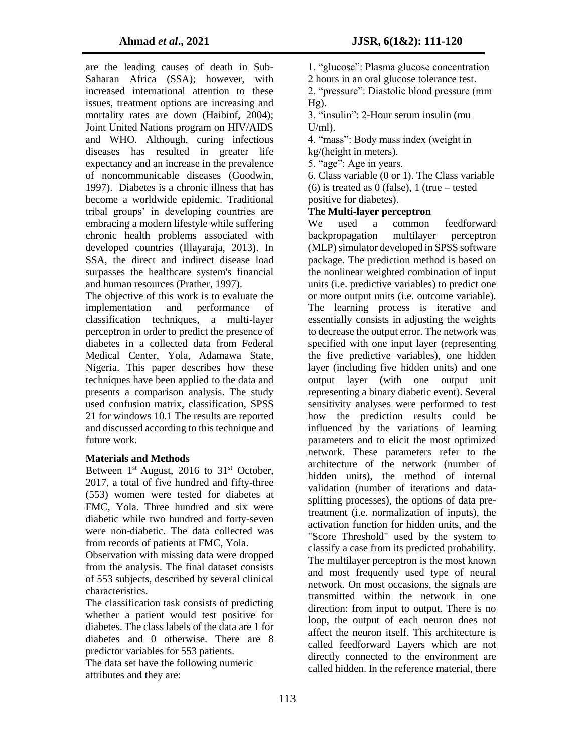are the leading causes of death in Sub-Saharan Africa (SSA); however, with increased international attention to these issues, treatment options are increasing and mortality rates are down (Haibinf, 2004); Joint United Nations program on HIV/AIDS and WHO. Although, curing infectious diseases has resulted in greater life expectancy and an increase in the prevalence of noncommunicable diseases (Goodwin, 1997). Diabetes is a chronic illness that has become a worldwide epidemic. Traditional tribal groups' in developing countries are embracing a modern lifestyle while suffering chronic health problems associated with developed countries (Illayaraja, 2013). In SSA, the direct and indirect disease load surpasses the healthcare system's financial and human resources (Prather, 1997).

The objective of this work is to evaluate the implementation and performance of classification techniques, a multi-layer perceptron in order to predict the presence of diabetes in a collected data from Federal Medical Center, Yola, Adamawa State, Nigeria. This paper describes how these techniques have been applied to the data and presents a comparison analysis. The study used confusion matrix, classification, SPSS 21 for windows 10.1 The results are reported and discussed according to this technique and future work.

## **Materials and Methods**

Between  $1<sup>st</sup>$  August, 2016 to  $31<sup>st</sup>$  October, 2017, a total of five hundred and fifty-three (553) women were tested for diabetes at FMC, Yola. Three hundred and six were diabetic while two hundred and forty-seven were non-diabetic. The data collected was from records of patients at FMC, Yola.

Observation with missing data were dropped from the analysis. The final dataset consists of 553 subjects, described by several clinical characteristics.

The classification task consists of predicting whether a patient would test positive for diabetes. The class labels of the data are 1 for diabetes and 0 otherwise. There are 8 predictor variables for 553 patients.

The data set have the following numeric attributes and they are:

1. "glucose": Plasma glucose concentration

2 hours in an oral glucose tolerance test.

2. "pressure": Diastolic blood pressure (mm  $Hg$ ).

3. "insulin": 2-Hour serum insulin (mu  $U/ml$ ).

4. "mass": Body mass index (weight in kg/(height in meters).

5. "age": Age in years.

6. Class variable (0 or 1). The Class variable (6) is treated as 0 (false), 1 (true – tested positive for diabetes).

## **The Multi-layer perceptron**

We used a common feedforward backpropagation multilayer perceptron (MLP) simulator developed in SPSS software package. The prediction method is based on the nonlinear weighted combination of input units (i.e. predictive variables) to predict one or more output units (i.e. outcome variable). The learning process is iterative and essentially consists in adjusting the weights to decrease the output error. The network was specified with one input layer (representing the five predictive variables), one hidden layer (including five hidden units) and one output layer (with one output unit representing a binary diabetic event). Several sensitivity analyses were performed to test how the prediction results could be influenced by the variations of learning parameters and to elicit the most optimized network. These parameters refer to the architecture of the network (number of hidden units), the method of internal validation (number of iterations and datasplitting processes), the options of data pretreatment (i.e. normalization of inputs), the activation function for hidden units, and the "Score Threshold" used by the system to classify a case from its predicted probability. The multilayer perceptron is the most known and most frequently used type of neural network. On most occasions, the signals are transmitted within the network in one direction: from input to output. There is no loop, the output of each neuron does not affect the neuron itself. This architecture is called feedforward Layers which are not directly connected to the environment are called hidden. In the reference material, there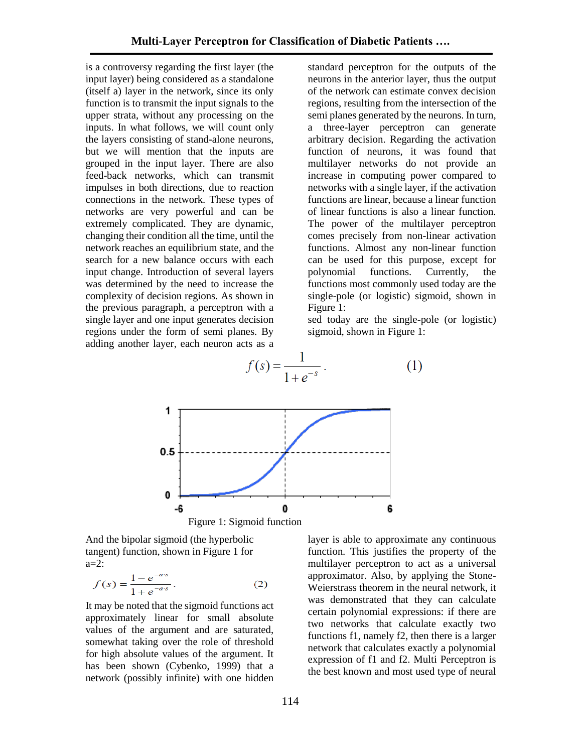is a controversy regarding the first layer (the input layer) being considered as a standalone (itself a) layer in the network, since its only function is to transmit the input signals to the upper strata, without any processing on the inputs. In what follows, we will count only the layers consisting of stand-alone neurons, but we will mention that the inputs are grouped in the input layer. There are also feed-back networks, which can transmit impulses in both directions, due to reaction connections in the network. These types of networks are very powerful and can be extremely complicated. They are dynamic, changing their condition all the time, until the network reaches an equilibrium state, and the search for a new balance occurs with each input change. Introduction of several layers was determined by the need to increase the complexity of decision regions. As shown in the previous paragraph, a perceptron with a single layer and one input generates decision regions under the form of semi planes. By

standard perceptron for the outputs of the neurons in the anterior layer, thus the output of the network can estimate convex decision regions, resulting from the intersection of the semi planes generated by the neurons. In turn, a three-layer perceptron can generate arbitrary decision. Regarding the activation function of neurons, it was found that multilayer networks do not provide an increase in computing power compared to networks with a single layer, if the activation functions are linear, because a linear function of linear functions is also a linear function. The power of the multilayer perceptron comes precisely from non-linear activation functions. Almost any non-linear function can be used for this purpose, except for polynomial functions. Currently, the functions most commonly used today are the single-pole (or logistic) sigmoid, shown in Figure 1:

sed today are the single-pole (or logistic) sigmoid, shown in Figure 1:



And the bipolar sigmoid (the hyperbolic tangent) function, shown in Figure 1 for a=2:

$$
f(s) = \frac{1 - e^{-as}}{1 + e^{-as}}.
$$
 (2)

It may be noted that the sigmoid functions act approximately linear for small absolute values of the argument and are saturated, somewhat taking over the role of threshold for high absolute values of the argument. It has been shown (Cybenko, 1999) that a network (possibly infinite) with one hidden

layer is able to approximate any continuous function. This justifies the property of the multilayer perceptron to act as a universal approximator. Also, by applying the Stone-Weierstrass theorem in the neural network, it was demonstrated that they can calculate certain polynomial expressions: if there are two networks that calculate exactly two functions f1, namely f2, then there is a larger network that calculates exactly a polynomial expression of f1 and f2. Multi Perceptron is the best known and most used type of neural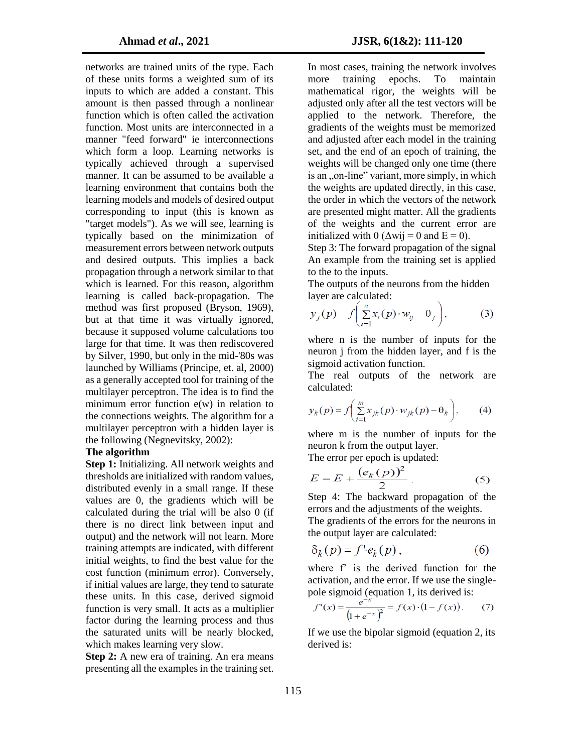networks are trained units of the type. Each of these units forms a weighted sum of its inputs to which are added a constant. This amount is then passed through a nonlinear function which is often called the activation function. Most units are interconnected in a manner "feed forward" ie interconnections which form a loop. Learning networks is typically achieved through a supervised manner. It can be assumed to be available a learning environment that contains both the learning models and models of desired output corresponding to input (this is known as "target models"). As we will see, learning is typically based on the minimization of measurement errors between network outputs and desired outputs. This implies a back propagation through a network similar to that which is learned. For this reason, algorithm learning is called back-propagation. The method was first proposed (Bryson, 1969), but at that time it was virtually ignored, because it supposed volume calculations too large for that time. It was then rediscovered by Silver, 1990, but only in the mid-'80s was launched by Williams (Principe, et. al, 2000) as a generally accepted tool for training of the multilayer perceptron. The idea is to find the minimum error function e(w) in relation to the connections weights. The algorithm for a multilayer perceptron with a hidden layer is the following (Negnevitsky, 2002):

## **The algorithm**

**Step 1:** Initializing. All network weights and thresholds are initialized with random values, distributed evenly in a small range. If these values are 0, the gradients which will be calculated during the trial will be also 0 (if there is no direct link between input and output) and the network will not learn. More training attempts are indicated, with different initial weights, to find the best value for the cost function (minimum error). Conversely, if initial values are large, they tend to saturate these units. In this case, derived sigmoid function is very small. It acts as a multiplier factor during the learning process and thus the saturated units will be nearly blocked, which makes learning very slow.

**Step 2:** A new era of training. An era means presenting all the examples in the training set.

In most cases, training the network involves more training epochs. To maintain mathematical rigor, the weights will be adjusted only after all the test vectors will be applied to the network. Therefore, the gradients of the weights must be memorized and adjusted after each model in the training set, and the end of an epoch of training, the weights will be changed only one time (there is an ..on-line" variant, more simply, in which the weights are updated directly, in this case, the order in which the vectors of the network are presented might matter. All the gradients of the weights and the current error are initialized with 0 ( $\Delta$ wij = 0 and E = 0).

Step 3: The forward propagation of the signal An example from the training set is applied to the to the inputs.

The outputs of the neurons from the hidden layer are calculated:

$$
y_j(p) = f\left(\sum_{i=1}^n x_i(p) \cdot w_{ij} - \theta_j\right),\tag{3}
$$

where n is the number of inputs for the neuron j from the hidden layer, and f is the sigmoid activation function.

The real outputs of the network are calculated:

$$
y_k(p) = f\left(\sum_{i=1}^m x_{jk}(p) \cdot w_{jk}(p) - \theta_k\right),\qquad(4)
$$

where m is the number of inputs for the neuron k from the output layer.

The error per epoch is updated:

$$
E = E + \frac{(e_k(p))^2}{2}.
$$
 (5)

Step 4: The backward propagation of the errors and the adjustments of the weights.

The gradients of the errors for the neurons in the output layer are calculated:

$$
\delta_k(p) = f' \cdot e_k(p) \,, \tag{6}
$$

where f' is the derived function for the activation, and the error. If we use the singlepole sigmoid (equation 1, its derived is:

$$
f'(x) = \frac{e^{-x}}{\left(1 + e^{-x}\right)^2} = f(x) \cdot \left(1 - f(x)\right). \tag{7}
$$

If we use the bipolar sigmoid (equation 2, its derived is: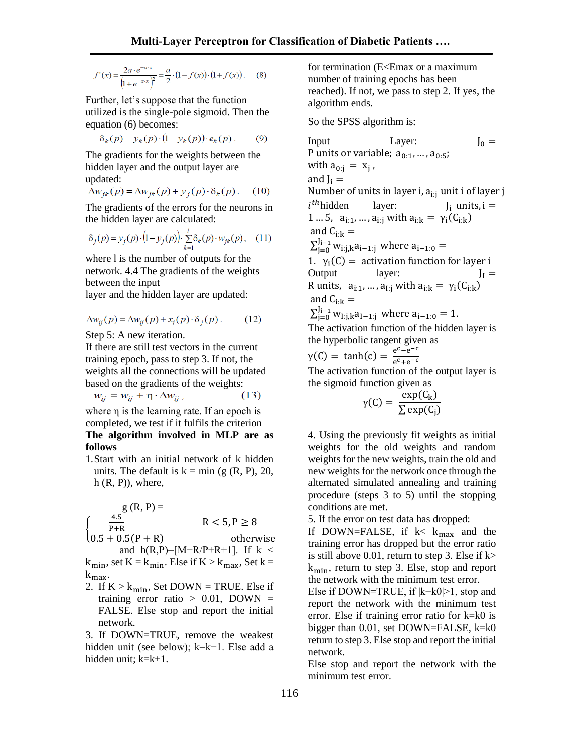$$
f'(x) = \frac{2a \cdot e^{-a \cdot x}}{\left(1 + e^{-a \cdot x}\right)^2} = \frac{a}{2} \cdot \left(1 - f(x)\right) \cdot \left(1 + f(x)\right). \tag{8}
$$

Further, let's suppose that the function utilized is the single-pole sigmoid. Then the equation (6) becomes:

$$
\delta_k(p) = y_k(p) \cdot (1 - y_k(p)) \cdot e_k(p) \,. \tag{9}
$$

The gradients for the weights between the hidden layer and the output layer are updated:

$$
\Delta w_{jk}(p) = \Delta w_{jk}(p) + y_j(p) \cdot \delta_k(p). \quad (10)
$$

The gradients of the errors for the neurons in the hidden layer are calculated:

$$
\delta_j(p) = y_j(p) \cdot (1 - y_j(p)) \cdot \sum_{k=1}^j \delta_k(p) \cdot w_{jk}(p), \quad (11)
$$

where l is the number of outputs for the network. 4.4 The gradients of the weights between the input

layer and the hidden layer are updated:

$$
\Delta w_{ij}(p) = \Delta w_{ij}(p) + x_i(p) \cdot \delta_j(p). \tag{12}
$$

Step 5: A new iteration.

**follows**

If there are still test vectors in the current training epoch, pass to step 3. If not, the weights all the connections will be updated based on the gradients of the weights:

$$
w_{ij} = w_{ij} + \eta \cdot \Delta w_{ij}, \qquad (13)
$$

where η is the learning rate. If an epoch is completed, we test if it fulfils the criterion **The algorithm involved in MLP are as** 

1.Start with an initial network of k hidden units. The default is  $k = min (g (R, P), 20, ...)$  $h(R, P)$ , where,

$$
g(R, P) =
$$
\n
$$
\begin{cases}\n\frac{4.5}{P+R} & R < 5, P \ge 8 \\
0.5 + 0.5(P+R) & \text{otherwise} \\
\text{and } h(R, P) = [M-R/P+R+1]. & \text{If } k < k \\
\end{cases}
$$
\n
$$
k \cdot \text{set } K - k \cdot \text{Ele } \text{if } K > k \quad \text{Set } k -
$$

 $k_{\text{min}}$ , set  $K = k_{\text{min}}$ . Else if  $K > k_{\text{max}}$ , Set k kmax.

2. If  $K > k_{min}$ , Set DOWN = TRUE. Else if training error ratio  $> 0.01$ , DOWN = FALSE. Else stop and report the initial network.

3. If DOWN=TRUE, remove the weakest hidden unit (see below); k=k−1. Else add a hidden unit; k=k+1.

for termination (E<Emax or a maximum number of training epochs has been reached). If not, we pass to step 2. If yes, the algorithm ends.

So the SPSS algorithm is:

Input Layer:  $J_0 =$ P units or variable;  $a_{0:1},..., a_{0:5}$ ; with  $a_{0:j} = x_j$ , and  $J_i =$ Number of units in layer i,  $a_{i:i}$  unit i of layer j  $i^{th}$ hidden layer:  $J_i$  units,  $i =$ 1 ... 5,  $a_{i:1}, ..., a_{i:j}$  with  $a_{i:k} = \gamma_i(C_{i:k})$ and  $C_{i:k}$  =  $\sum_{j=0}^{J_{i-1}} w_{i:j,k} a_{i-1:j}$  where  $a_{i-1:0} =$ 1.  $\gamma_i(C) =$  activation function for layer i Output layer:  $J_I =$ R units,  $a_{i:1},...,a_{I:j}$  with  $a_{i:k} = \gamma_i(C_{i:k})$ and  $C_{i:k}$  =  $\sum_{j=0}^{J_{i-1}} w_{I:j,k} a_{I-1:j}$  where  $a_{i-1:0} = 1$ . The activation function of the hidden layer is the hyperbolic tangent given as  $\gamma(C) = \tanh(c) = \frac{e^{c} - e^{-c}}{c}$  $e^c+e^{-c}$ The activation function of the output layer is the sigmoid function given as

$$
\gamma(C) = \frac{\exp(C_k)}{\sum \exp(C_j)}
$$

4. Using the previously fit weights as initial weights for the old weights and random weights for the new weights, train the old and new weights for the network once through the alternated simulated annealing and training procedure (steps 3 to 5) until the stopping conditions are met.

5. If the error on test data has dropped:

If DOWN=FALSE, if  $k < k_{max}$  and the training error has dropped but the error ratio is still above 0.01, return to step 3. Else if  $k$ kmin, return to step 3. Else, stop and report the network with the minimum test error.

Else if DOWN=TRUE, if |k−k0|>1, stop and report the network with the minimum test error. Else if training error ratio for k=k0 is bigger than 0.01, set DOWN=FALSE, k=k0 return to step 3. Else stop and report the initial network.

Else stop and report the network with the minimum test error.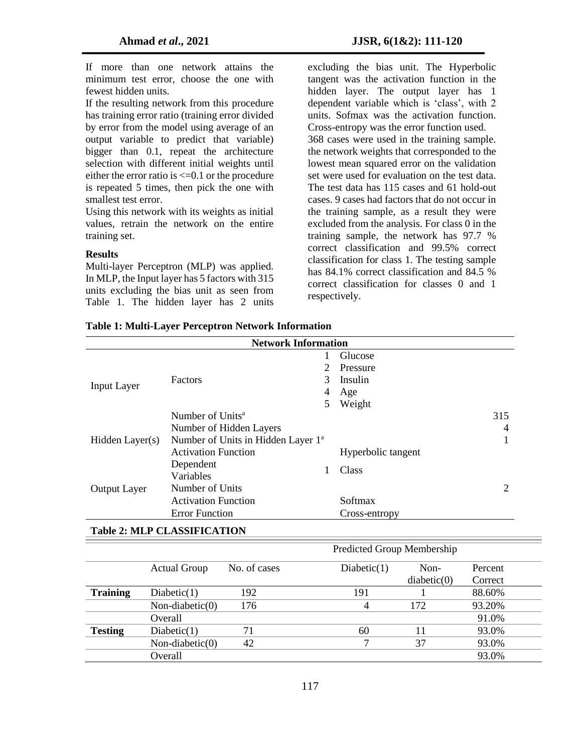If more than one network attains the minimum test error, choose the one with fewest hidden units.

If the resulting network from this procedure has training error ratio (training error divided by error from the model using average of an output variable to predict that variable) bigger than 0.1, repeat the architecture selection with different initial weights until either the error ratio is  $\leq 0.1$  or the procedure is repeated 5 times, then pick the one with smallest test error.

Using this network with its weights as initial values, retrain the network on the entire training set.

#### **Results**

Multi-layer Perceptron (MLP) was applied. In MLP, the Input layer has 5 factors with 315 units excluding the bias unit as seen from Table 1. The hidden layer has 2 units

excluding the bias unit. The Hyperbolic tangent was the activation function in the hidden layer. The output layer has 1 dependent variable which is 'class', with 2 units. Sofmax was the activation function. Cross-entropy was the error function used. 368 cases were used in the training sample. the network weights that corresponded to the lowest mean squared error on the validation set were used for evaluation on the test data. The test data has 115 cases and 61 hold-out cases. 9 cases had factors that do not occur in the training sample, as a result they were excluded from the analysis. For class 0 in the training sample, the network has 97.7 % correct classification and 99.5% correct classification for class 1. The testing sample has 84.1% correct classification and 84.5 % correct classification for classes 0 and 1 respectively.

| <b>Network Information</b>         |                              |                                                |                            |                    |             |         |  |  |
|------------------------------------|------------------------------|------------------------------------------------|----------------------------|--------------------|-------------|---------|--|--|
|                                    |                              |                                                |                            | Glucose            |             |         |  |  |
|                                    |                              |                                                | $\overline{2}$             | Pressure           |             |         |  |  |
|                                    | Factors                      |                                                |                            | Insulin            |             |         |  |  |
| <b>Input Layer</b>                 |                              |                                                |                            | Age                |             |         |  |  |
|                                    |                              |                                                |                            | Weight             |             |         |  |  |
|                                    | Number of Units <sup>a</sup> |                                                |                            |                    |             | 315     |  |  |
|                                    |                              | Number of Hidden Layers                        |                            |                    |             | 4       |  |  |
| Hidden Layer(s)                    |                              | Number of Units in Hidden Layer 1 <sup>a</sup> |                            |                    |             | 1       |  |  |
|                                    |                              | <b>Activation Function</b>                     |                            | Hyperbolic tangent |             |         |  |  |
|                                    | Dependent                    | Variables                                      |                            |                    |             |         |  |  |
|                                    |                              |                                                |                            | Class              |             |         |  |  |
| <b>Output Layer</b>                | Number of Units              |                                                |                            |                    |             | 2       |  |  |
|                                    |                              | <b>Activation Function</b>                     |                            | Softmax            |             |         |  |  |
|                                    |                              | <b>Error Function</b>                          |                            | Cross-entropy      |             |         |  |  |
|                                    |                              |                                                |                            |                    |             |         |  |  |
| <b>Table 2: MLP CLASSIFICATION</b> |                              |                                                |                            |                    |             |         |  |  |
|                                    |                              |                                                | Predicted Group Membership |                    |             |         |  |  |
|                                    | <b>Actual Group</b>          | No. of cases                                   |                            | Diabetic(1)        | Non-        | Percent |  |  |
|                                    |                              |                                                |                            |                    | diabetic(0) | Correct |  |  |
| <b>Training</b>                    | Diabetic(1)                  | 192                                            |                            | 191                | 1           | 88.60%  |  |  |
|                                    | Non-diabetic(0)              | 176                                            |                            | 4                  | 172         | 93.20%  |  |  |
|                                    | Overall                      |                                                |                            |                    |             | 91.0%   |  |  |
| <b>Testing</b>                     | Diabetic(1)                  | 71                                             |                            | 60                 | 11          | 93.0%   |  |  |
|                                    | Non-diabetic $(0)$           | 42                                             |                            | 7                  | 37          | 93.0%   |  |  |
|                                    | Overall                      |                                                |                            |                    |             | 93.0%   |  |  |

**Table 1: Multi-Layer Perceptron Network Information**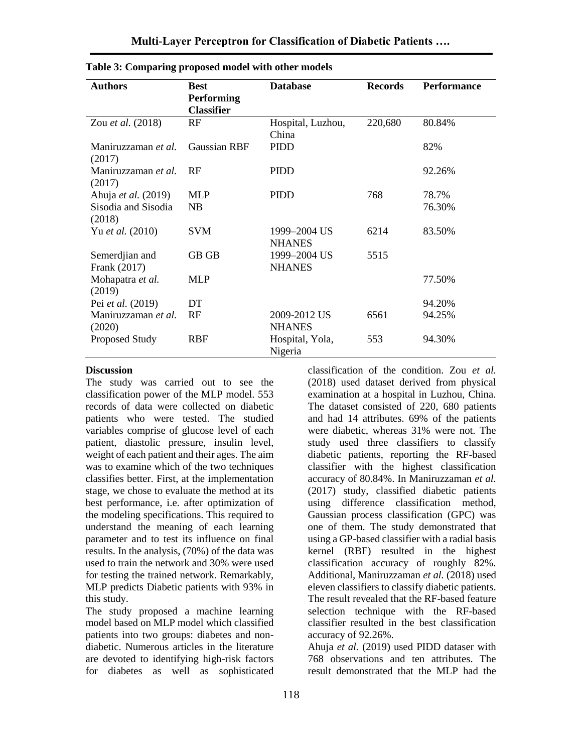| <b>Authors</b>                 | <b>Best</b>         | <b>Database</b>               | <b>Records</b> | <b>Performance</b> |
|--------------------------------|---------------------|-------------------------------|----------------|--------------------|
|                                | <b>Performing</b>   |                               |                |                    |
|                                | <b>Classifier</b>   |                               |                |                    |
| Zou et al. (2018)              | RF                  | Hospital, Luzhou,<br>China    | 220,680        | 80.84%             |
| Maniruzzaman et al.<br>(2017)  | <b>Gaussian RBF</b> | <b>PIDD</b>                   |                | 82%                |
| Maniruzzaman et al.<br>(2017)  | RF                  | <b>PIDD</b>                   |                | 92.26%             |
| Ahuja et al. (2019)            | <b>MLP</b>          | <b>PIDD</b>                   | 768            | 78.7%              |
| Sisodia and Sisodia<br>(2018)  | NB                  |                               |                | 76.30%             |
| Yu et al. (2010)               | SVM                 | 1999–2004 US<br><b>NHANES</b> | 6214           | 83.50%             |
| Semerdjian and<br>Frank (2017) | GB GB               | 1999-2004 US<br><b>NHANES</b> | 5515           |                    |
| Mohapatra et al.<br>(2019)     | <b>MLP</b>          |                               |                | 77.50%             |
| Pei et al. (2019)              | DT                  |                               |                | 94.20%             |
| Maniruzzaman et al.<br>(2020)  | RF                  | 2009-2012 US<br><b>NHANES</b> | 6561           | 94.25%             |
| Proposed Study                 | RBF                 | Hospital, Yola,<br>Nigeria    | 553            | 94.30%             |

**Table 3: Comparing proposed model with other models**

#### **Discussion**

The study was carried out to see the classification power of the MLP model. 553 records of data were collected on diabetic patients who were tested. The studied variables comprise of glucose level of each patient, diastolic pressure, insulin level, weight of each patient and their ages. The aim was to examine which of the two techniques classifies better. First, at the implementation stage, we chose to evaluate the method at its best performance, i.e. after optimization of the modeling specifications. This required to understand the meaning of each learning parameter and to test its influence on final results. In the analysis, (70%) of the data was used to train the network and 30% were used for testing the trained network. Remarkably, MLP predicts Diabetic patients with 93% in this study.

The study proposed a machine learning model based on MLP model which classified patients into two groups: diabetes and nondiabetic. Numerous articles in the literature are devoted to identifying high-risk factors for diabetes as well as sophisticated

classification of the condition. Zou *et al.* (2018) used dataset derived from physical examination at a hospital in Luzhou, China. The dataset consisted of 220, 680 patients and had 14 attributes. 69% of the patients were diabetic, whereas 31% were not. The study used three classifiers to classify diabetic patients, reporting the RF-based classifier with the highest classification accuracy of 80.84%. In Maniruzzaman *et al.* (2017) study, classified diabetic patients using difference classification method, Gaussian process classification (GPC) was one of them. The study demonstrated that using a GP-based classifier with a radial basis kernel (RBF) resulted in the highest classification accuracy of roughly 82%. Additional, Maniruzzaman *et al.* (2018) used eleven classifiers to classify diabetic patients. The result revealed that the RF-based feature selection technique with the RF-based classifier resulted in the best classification accuracy of 92.26%.

Ahuja *et al.* (2019) used PIDD dataser with 768 observations and ten attributes. The result demonstrated that the MLP had the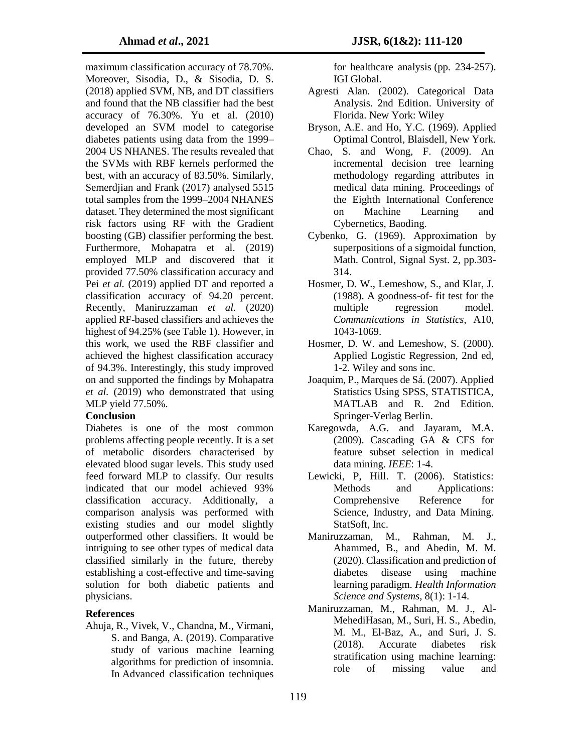maximum classification accuracy of 78.70%. Moreover, Sisodia, D., & Sisodia, D. S. (2018) applied SVM, NB, and DT classifiers and found that the NB classifier had the best accuracy of 76.30%. Yu et al. (2010) developed an SVM model to categorise diabetes patients using data from the 1999– 2004 US NHANES. The results revealed that the SVMs with RBF kernels performed the best, with an accuracy of 83.50%. Similarly, Semerdjian and Frank (2017) analysed 5515 total samples from the 1999–2004 NHANES dataset. They determined the most significant risk factors using RF with the Gradient boosting (GB) classifier performing the best. Furthermore, Mohapatra et al. (2019) employed MLP and discovered that it provided 77.50% classification accuracy and Pei *et al.* (2019) applied DT and reported a classification accuracy of 94.20 percent. Recently, Maniruzzaman *et al.* (2020) applied RF-based classifiers and achieves the highest of 94.25% (see Table 1). However, in this work, we used the RBF classifier and achieved the highest classification accuracy of 94.3%. Interestingly, this study improved on and supported the findings by Mohapatra *et al.* (2019) who demonstrated that using MLP yield 77.50%.

## **Conclusion**

Diabetes is one of the most common problems affecting people recently. It is a set of metabolic disorders characterised by elevated blood sugar levels. This study used feed forward MLP to classify. Our results indicated that our model achieved 93% classification accuracy. Additionally, a comparison analysis was performed with existing studies and our model slightly outperformed other classifiers. It would be intriguing to see other types of medical data classified similarly in the future, thereby establishing a cost-effective and time-saving solution for both diabetic patients and physicians.

## **References**

Ahuja, R., Vivek, V., Chandna, M., Virmani, S. and Banga, A. (2019). Comparative study of various machine learning algorithms for prediction of insomnia. In Advanced classification techniques

for healthcare analysis (pp. 234-257). IGI Global.

- Agresti Alan. (2002). Categorical Data Analysis. 2nd Edition. University of Florida. New York: Wiley
- Bryson, A.E. and Ho, Y.C. (1969). Applied Optimal Control, Blaisdell, New York.
- Chao, S. and Wong, F. (2009). An incremental decision tree learning methodology regarding attributes in medical data mining. Proceedings of the Eighth International Conference on Machine Learning and Cybernetics, Baoding.
- Cybenko, G. (1969). Approximation by superpositions of a sigmoidal function, Math. Control, Signal Syst. 2, pp.303- 314.
- Hosmer, D. W., Lemeshow, S., and Klar, J. (1988). A goodness-of- fit test for the multiple regression model. *Communications in Statistics*, A10, 1043-1069.
- Hosmer, D. W. and Lemeshow, S. (2000). Applied Logistic Regression, 2nd ed, 1-2. Wiley and sons inc.
- Joaquim, P., Marques de Sá. (2007). Applied Statistics Using SPSS, STATISTICA, MATLAB and R. 2nd Edition. Springer-Verlag Berlin.
- Karegowda, A.G. and Jayaram, M.A. (2009). Cascading GA & CFS for feature subset selection in medical data mining. *IEEE*: 1-4.
- Lewicki, P, Hill. T. (2006). Statistics: Methods and Applications: Comprehensive Reference for Science, Industry, and Data Mining. StatSoft, Inc.
- Maniruzzaman, M., Rahman, M. J., Ahammed, B., and Abedin, M. M. (2020). Classification and prediction of diabetes disease using machine learning paradigm. *Health Information Science and Systems*, 8(1): 1-14.
- Maniruzzaman, M., Rahman, M. J., Al-MehediHasan, M., Suri, H. S., Abedin, M. M., El-Baz, A., and Suri, J. S. (2018). Accurate diabetes risk stratification using machine learning: role of missing value and